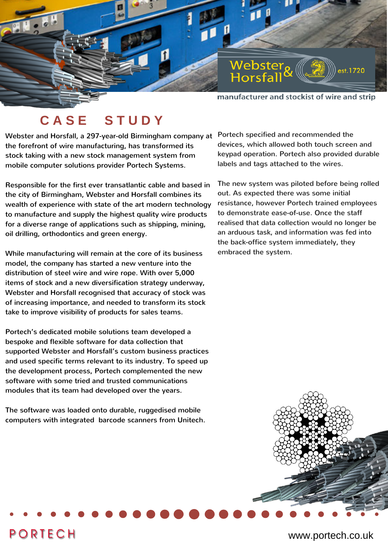

manufacturer and stockist of wire and strip

## **C A S E S T U D Y**

Webster and Horsfall, a 297-year-old Birmingham company at the forefront of wire manufacturing, has transformed its stock taking with a new stock management system from mobile computer solutions provider Portech Systems.

Responsible for the first ever transatlantic cable and based in the city of Birmingham, Webster and Horsfall combines its wealth of experience with state of the art modern technology to manufacture and supply the highest quality wire products for a diverse range of applications such as shipping, mining, oil drilling, orthodontics and green energy.

While manufacturing will remain at the core of its business model, the company has started a new venture into the distribution of steel wire and wire rope. With over 5,000 items of stock and a new diversification strategy underway, Webster and Horsfall recognised that accuracy of stock was of increasing importance, and needed to transform its stock take to improve visibility of products for sales teams.

Portech's dedicated mobile solutions team developed a bespoke and flexible software for data collection that supported Webster and Horsfall's custom business practices and used specific terms relevant to its industry. To speed up the development process, Portech complemented the new software with some tried and trusted communications modules that its team had developed over the years.

The software was loaded onto durable, ruggedised mobile computers with integrated barcode scanners from Unitech.

**PORTECH** 

Portech specified and recommended the devices, which allowed both touch screen and keypad operation. Portech also provided durable labels and tags attached to the wires.

The new system was piloted before being rolled out. As expected there was some initial resistance, however Portech trained employees to demonstrate ease-of-use. Once the staff realised that data collection would no longer be an arduous task, and information was fed into the back-office system immediately, they embraced the system.



## www.portech.co.uk